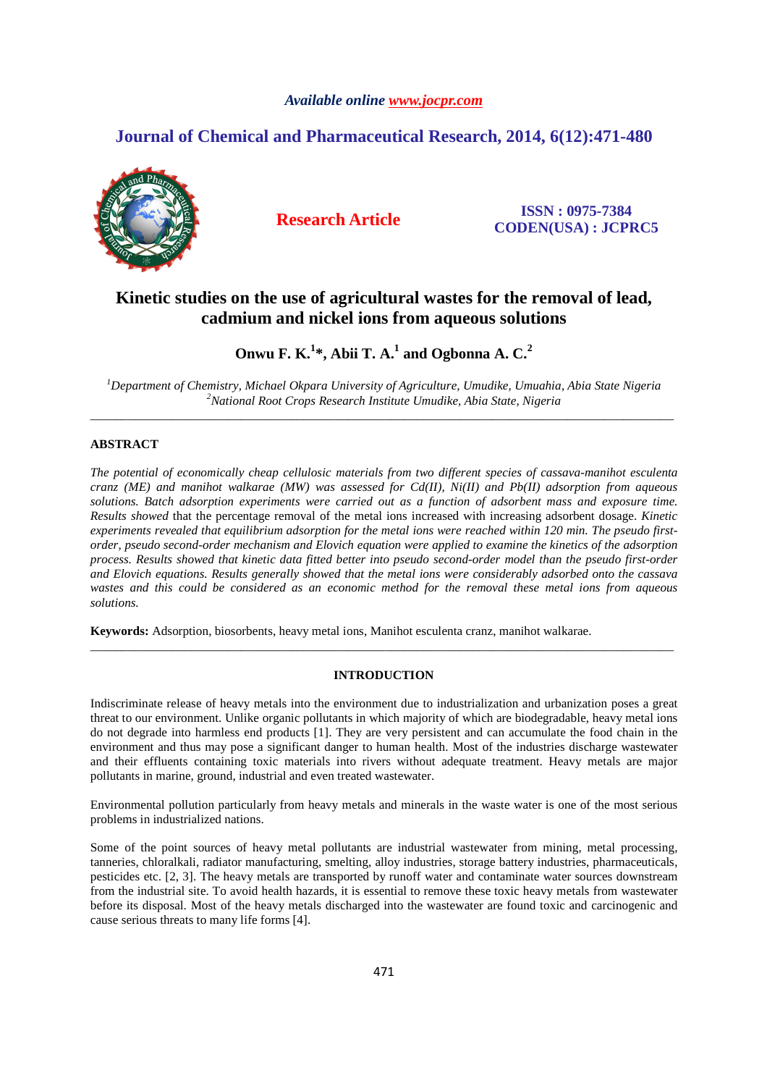# *Available online www.jocpr.com*

# **Journal of Chemical and Pharmaceutical Research, 2014, 6(12):471-480**



**Research Article ISSN : 0975-7384 CODEN(USA) : JCPRC5**

# **Kinetic studies on the use of agricultural wastes for the removal of lead, cadmium and nickel ions from aqueous solutions**

# **Onwu F. K.<sup>1</sup> \*, Abii T. A.<sup>1</sup> and Ogbonna A. C.<sup>2</sup>**

*<sup>1</sup>Department of Chemistry, Michael Okpara University of Agriculture, Umudike, Umuahia, Abia State Nigeria <sup>2</sup>National Root Crops Research Institute Umudike, Abia State, Nigeria*  \_\_\_\_\_\_\_\_\_\_\_\_\_\_\_\_\_\_\_\_\_\_\_\_\_\_\_\_\_\_\_\_\_\_\_\_\_\_\_\_\_\_\_\_\_\_\_\_\_\_\_\_\_\_\_\_\_\_\_\_\_\_\_\_\_\_\_\_\_\_\_\_\_\_\_\_\_\_\_\_\_\_\_\_\_\_\_\_\_\_\_\_\_

# **ABSTRACT**

*The potential of economically cheap cellulosic materials from two different species of cassava-manihot esculenta cranz (ME) and manihot walkarae (MW) was assessed for Cd(II), Ni(II) and Pb(II) adsorption from aqueous solutions. Batch adsorption experiments were carried out as a function of adsorbent mass and exposure time. Results showed* that the percentage removal of the metal ions increased with increasing adsorbent dosage. *Kinetic experiments revealed that equilibrium adsorption for the metal ions were reached within 120 min. The pseudo firstorder, pseudo second-order mechanism and Elovich equation were applied to examine the kinetics of the adsorption process. Results showed that kinetic data fitted better into pseudo second-order model than the pseudo first-order and Elovich equations. Results generally showed that the metal ions were considerably adsorbed onto the cassava wastes and this could be considered as an economic method for the removal these metal ions from aqueous solutions.* 

**Keywords:** Adsorption, biosorbents, heavy metal ions, Manihot esculenta cranz, manihot walkarae.

## **INTRODUCTION**

\_\_\_\_\_\_\_\_\_\_\_\_\_\_\_\_\_\_\_\_\_\_\_\_\_\_\_\_\_\_\_\_\_\_\_\_\_\_\_\_\_\_\_\_\_\_\_\_\_\_\_\_\_\_\_\_\_\_\_\_\_\_\_\_\_\_\_\_\_\_\_\_\_\_\_\_\_\_\_\_\_\_\_\_\_\_\_\_\_\_\_\_\_

Indiscriminate release of heavy metals into the environment due to industrialization and urbanization poses a great threat to our environment. Unlike organic pollutants in which majority of which are biodegradable, heavy metal ions do not degrade into harmless end products [1]. They are very persistent and can accumulate the food chain in the environment and thus may pose a significant danger to human health. Most of the industries discharge wastewater and their effluents containing toxic materials into rivers without adequate treatment. Heavy metals are major pollutants in marine, ground, industrial and even treated wastewater.

Environmental pollution particularly from heavy metals and minerals in the waste water is one of the most serious problems in industrialized nations.

Some of the point sources of heavy metal pollutants are industrial wastewater from mining, metal processing, tanneries, chloralkali, radiator manufacturing, smelting, alloy industries, storage battery industries, pharmaceuticals, pesticides etc. [2, 3]. The heavy metals are transported by runoff water and contaminate water sources downstream from the industrial site. To avoid health hazards, it is essential to remove these toxic heavy metals from wastewater before its disposal. Most of the heavy metals discharged into the wastewater are found toxic and carcinogenic and cause serious threats to many life forms [4].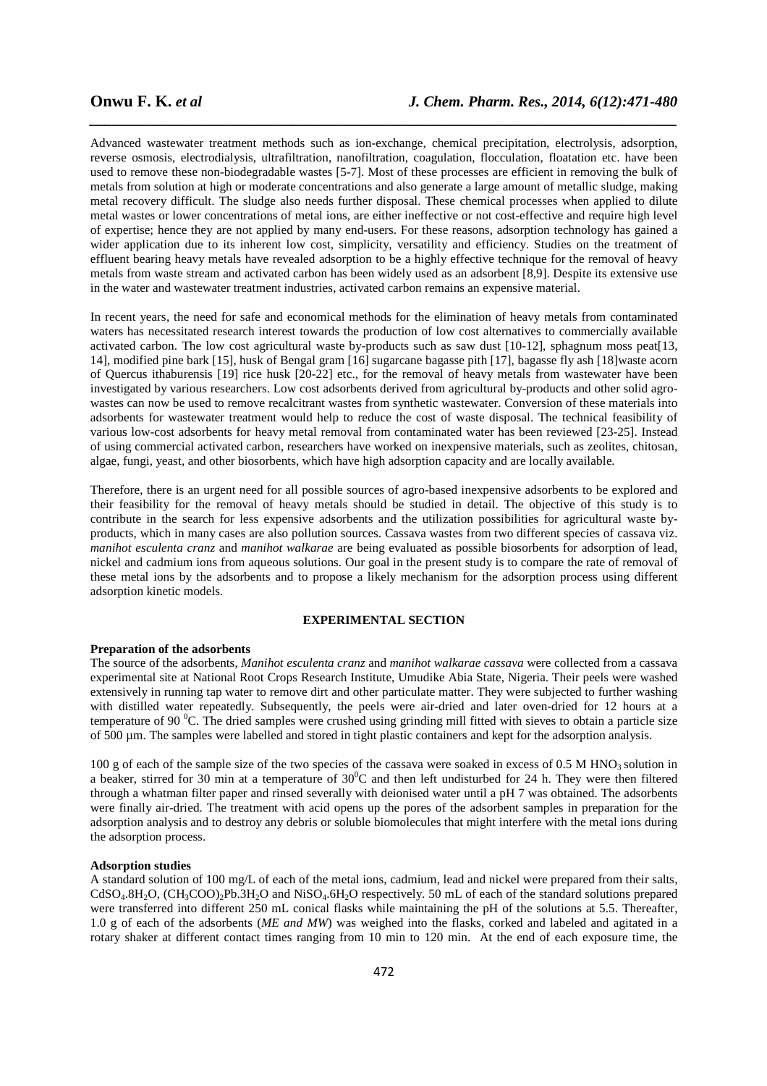Advanced wastewater treatment methods such as ion-exchange, chemical precipitation, electrolysis, adsorption, reverse osmosis, electrodialysis, ultrafiltration, nanofiltration, coagulation, flocculation, floatation etc. have been used to remove these non-biodegradable wastes [5-7]. Most of these processes are efficient in removing the bulk of metals from solution at high or moderate concentrations and also generate a large amount of metallic sludge, making metal recovery difficult. The sludge also needs further disposal. These chemical processes when applied to dilute metal wastes or lower concentrations of metal ions, are either ineffective or not cost-effective and require high level of expertise; hence they are not applied by many end-users. For these reasons, adsorption technology has gained a wider application due to its inherent low cost, simplicity, versatility and efficiency. Studies on the treatment of effluent bearing heavy metals have revealed adsorption to be a highly effective technique for the removal of heavy metals from waste stream and activated carbon has been widely used as an adsorbent [8,9]. Despite its extensive use in the water and wastewater treatment industries, activated carbon remains an expensive material.

*\_\_\_\_\_\_\_\_\_\_\_\_\_\_\_\_\_\_\_\_\_\_\_\_\_\_\_\_\_\_\_\_\_\_\_\_\_\_\_\_\_\_\_\_\_\_\_\_\_\_\_\_\_\_\_\_\_\_\_\_\_\_\_\_\_\_\_\_\_\_\_\_\_\_\_\_\_\_*

In recent years, the need for safe and economical methods for the elimination of heavy metals from contaminated waters has necessitated research interest towards the production of low cost alternatives to commercially available activated carbon. The low cost agricultural waste by-products such as saw dust [10-12], sphagnum moss peat[13, 14], modified pine bark [15], husk of Bengal gram [16] sugarcane bagasse pith [17], bagasse fly ash [18]waste acorn of Quercus ithaburensis [19] rice husk [20-22] etc., for the removal of heavy metals from wastewater have been investigated by various researchers. Low cost adsorbents derived from agricultural by-products and other solid agrowastes can now be used to remove recalcitrant wastes from synthetic wastewater. Conversion of these materials into adsorbents for wastewater treatment would help to reduce the cost of waste disposal. The technical feasibility of various low-cost adsorbents for heavy metal removal from contaminated water has been reviewed [23-25]. Instead of using commercial activated carbon, researchers have worked on inexpensive materials, such as zeolites, chitosan, algae, fungi, yeast, and other biosorbents, which have high adsorption capacity and are locally available.

Therefore, there is an urgent need for all possible sources of agro-based inexpensive adsorbents to be explored and their feasibility for the removal of heavy metals should be studied in detail. The objective of this study is to contribute in the search for less expensive adsorbents and the utilization possibilities for agricultural waste byproducts, which in many cases are also pollution sources. Cassava wastes from two different species of cassava viz. *manihot esculenta cranz* and *manihot walkarae* are being evaluated as possible biosorbents for adsorption of lead, nickel and cadmium ions from aqueous solutions. Our goal in the present study is to compare the rate of removal of these metal ions by the adsorbents and to propose a likely mechanism for the adsorption process using different adsorption kinetic models.

# **EXPERIMENTAL SECTION**

#### **Preparation of the adsorbents**

The source of the adsorbents, *Manihot esculenta cranz* and *manihot walkarae cassava* were collected from a cassava experimental site at National Root Crops Research Institute, Umudike Abia State, Nigeria. Their peels were washed extensively in running tap water to remove dirt and other particulate matter. They were subjected to further washing with distilled water repeatedly. Subsequently, the peels were air-dried and later oven-dried for 12 hours at a temperature of 90  $\rm{^0C}$ . The dried samples were crushed using grinding mill fitted with sieves to obtain a particle size of 500 µm. The samples were labelled and stored in tight plastic containers and kept for the adsorption analysis.

100 g of each of the sample size of the two species of the cassava were soaked in excess of 0.5 M HNO3 solution in a beaker, stirred for 30 min at a temperature of  $30^0C$  and then left undisturbed for 24 h. They were then filtered through a whatman filter paper and rinsed severally with deionised water until a pH 7 was obtained. The adsorbents were finally air-dried. The treatment with acid opens up the pores of the adsorbent samples in preparation for the adsorption analysis and to destroy any debris or soluble biomolecules that might interfere with the metal ions during the adsorption process.

### **Adsorption studies**

A standard solution of 100 mg/L of each of the metal ions, cadmium, lead and nickel were prepared from their salts,  $CdSO<sub>4</sub>.8H<sub>2</sub>O$ ,  $(CH<sub>3</sub>COO)<sub>2</sub>Pb.3H<sub>2</sub>O$  and  $NiSO<sub>4</sub>.6H<sub>2</sub>O$  respectively. 50 mL of each of the standard solutions prepared were transferred into different 250 mL conical flasks while maintaining the pH of the solutions at 5.5. Thereafter, 1.0 g of each of the adsorbents (*ME and MW*) was weighed into the flasks, corked and labeled and agitated in a rotary shaker at different contact times ranging from 10 min to 120 min.At the end of each exposure time, the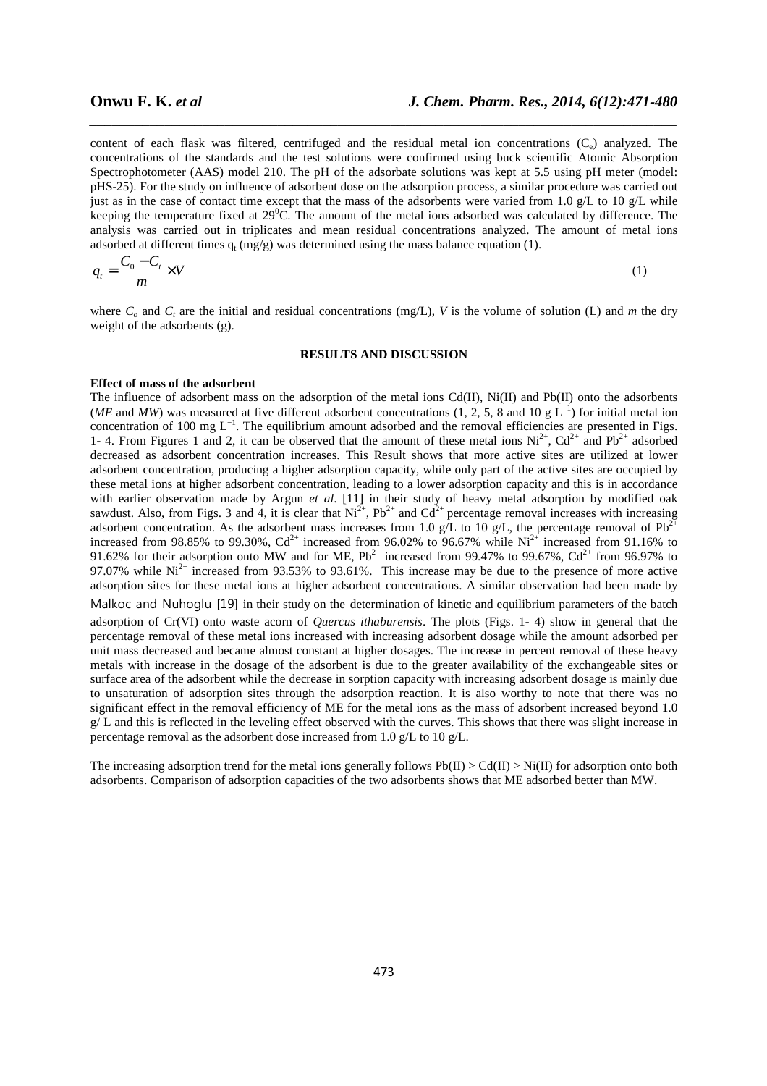content of each flask was filtered, centrifuged and the residual metal ion concentrations  $(C_e)$  analyzed. The concentrations of the standards and the test solutions were confirmed using buck scientific Atomic Absorption Spectrophotometer (AAS) model 210. The pH of the adsorbate solutions was kept at 5.5 using pH meter (model: pHS-25). For the study on influence of adsorbent dose on the adsorption process, a similar procedure was carried out just as in the case of contact time except that the mass of the adsorbents were varied from 1.0  $g/L$  to 10  $g/L$  while keeping the temperature fixed at  $29^{\circ}$ C. The amount of the metal ions adsorbed was calculated by difference. The analysis was carried out in triplicates and mean residual concentrations analyzed. The amount of metal ions adsorbed at different times  $q_t$  (mg/g) was determined using the mass balance equation (1).

*\_\_\_\_\_\_\_\_\_\_\_\_\_\_\_\_\_\_\_\_\_\_\_\_\_\_\_\_\_\_\_\_\_\_\_\_\_\_\_\_\_\_\_\_\_\_\_\_\_\_\_\_\_\_\_\_\_\_\_\_\_\_\_\_\_\_\_\_\_\_\_\_\_\_\_\_\_\_*

$$
q_t = \frac{C_0 - C_t}{m} \times V \tag{1}
$$

where  $C_p$  and  $C_t$  are the initial and residual concentrations (mg/L), V is the volume of solution (L) and *m* the dry weight of the adsorbents (g).

#### **RESULTS AND DISCUSSION**

### **Effect of mass of the adsorbent**

The influence of adsorbent mass on the adsorption of the metal ions Cd(II), Ni(II) and Pb(II) onto the adsorbents (*ME* and *MW*) was measured at five different adsorbent concentrations (1, 2, 5, 8 and 10 g L<sup>−1</sup>) for initial metal ion concentration of 100 mg L<sup>-1</sup>. The equilibrium amount adsorbed and the removal efficiencies are presented in Figs. 1- 4. From Figures 1 and 2, it can be observed that the amount of these metal ions  $Ni^{2+}$ ,  $Cd^{2+}$  and  $Pb^{2+}$  adsorbed decreased as adsorbent concentration increases. This Result shows that more active sites are utilized at lower adsorbent concentration, producing a higher adsorption capacity, while only part of the active sites are occupied by these metal ions at higher adsorbent concentration, leading to a lower adsorption capacity and this is in accordance with earlier observation made by Argun *et al*. [11] in their study of heavy metal adsorption by modified oak sawdust. Also, from Figs. 3 and 4, it is clear that  $Ni^{2+}$ ,  $Pb^{2+}$  and  $Cd^{2+}$  percentage removal increases with increasing adsorbent concentration. As the adsorbent mass increases from 1.0 g/L to 10 g/L, the percentage removal of  $Pb^{2+}$ increased from 98.85% to 99.30%,  $Cd^{2+}$  increased from 96.02% to 96.67% while Ni<sup>2+</sup> increased from 91.16% to 91.62% for their adsorption onto MW and for ME,  $Pb^{2+}$  increased from 99.47% to 99.67%,  $Cd^{2+}$  from 96.97% to 97.07% while  $Ni^{2+}$  increased from 93.53% to 93.61%. This increase may be due to the presence of more active adsorption sites for these metal ions at higher adsorbent concentrations. A similar observation had been made by Malkoc and Nuhoglu [19] in their study on the determination of kinetic and equilibrium parameters of the batch adsorption of Cr(VI) onto waste acorn of *Quercus ithaburensis*. The plots (Figs. 1- 4) show in general that the percentage removal of these metal ions increased with increasing adsorbent dosage while the amount adsorbed per unit mass decreased and became almost constant at higher dosages. The increase in percent removal of these heavy metals with increase in the dosage of the adsorbent is due to the greater availability of the exchangeable sites or surface area of the adsorbent while the decrease in sorption capacity with increasing adsorbent dosage is mainly due to unsaturation of adsorption sites through the adsorption reaction. It is also worthy to note that there was no significant effect in the removal efficiency of ME for the metal ions as the mass of adsorbent increased beyond 1.0  $g/L$  and this is reflected in the leveling effect observed with the curves. This shows that there was slight increase in percentage removal as the adsorbent dose increased from 1.0 g/L to 10 g/L.

The increasing adsorption trend for the metal ions generally follows  $Pb(II) > Cd(II) > Ni(II)$  for adsorption onto both adsorbents. Comparison of adsorption capacities of the two adsorbents shows that ME adsorbed better than MW.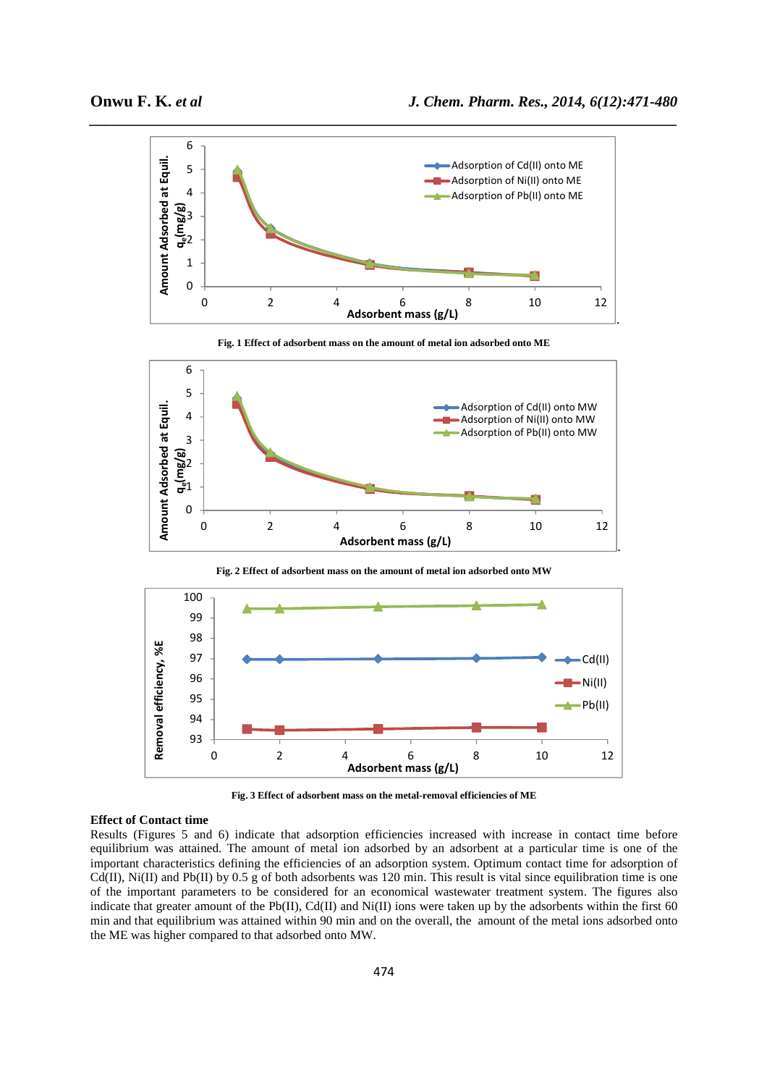

**Fig. 1 Effect of adsorbent mass on the amount of metal ion adsorbed onto ME** 



**Fig. 2 Effect of adsorbent mass on the amount of metal ion adsorbed onto MW** 



**Fig. 3 Effect of adsorbent mass on the metal-removal efficiencies of ME** 

### **Effect of Contact time**

Results (Figures 5 and 6) indicate that adsorption efficiencies increased with increase in contact time before equilibrium was attained. The amount of metal ion adsorbed by an adsorbent at a particular time is one of the important characteristics defining the efficiencies of an adsorption system. Optimum contact time for adsorption of Cd(II), Ni(II) and Pb(II) by 0.5 g of both adsorbents was 120 min. This result is vital since equilibration time is one of the important parameters to be considered for an economical wastewater treatment system. The figures also indicate that greater amount of the Pb(II),  $Cd(II)$  and Ni(II) ions were taken up by the adsorbents within the first 60 min and that equilibrium was attained within 90 min and on the overall, the amount of the metal ions adsorbed onto the ME was higher compared to that adsorbed onto MW.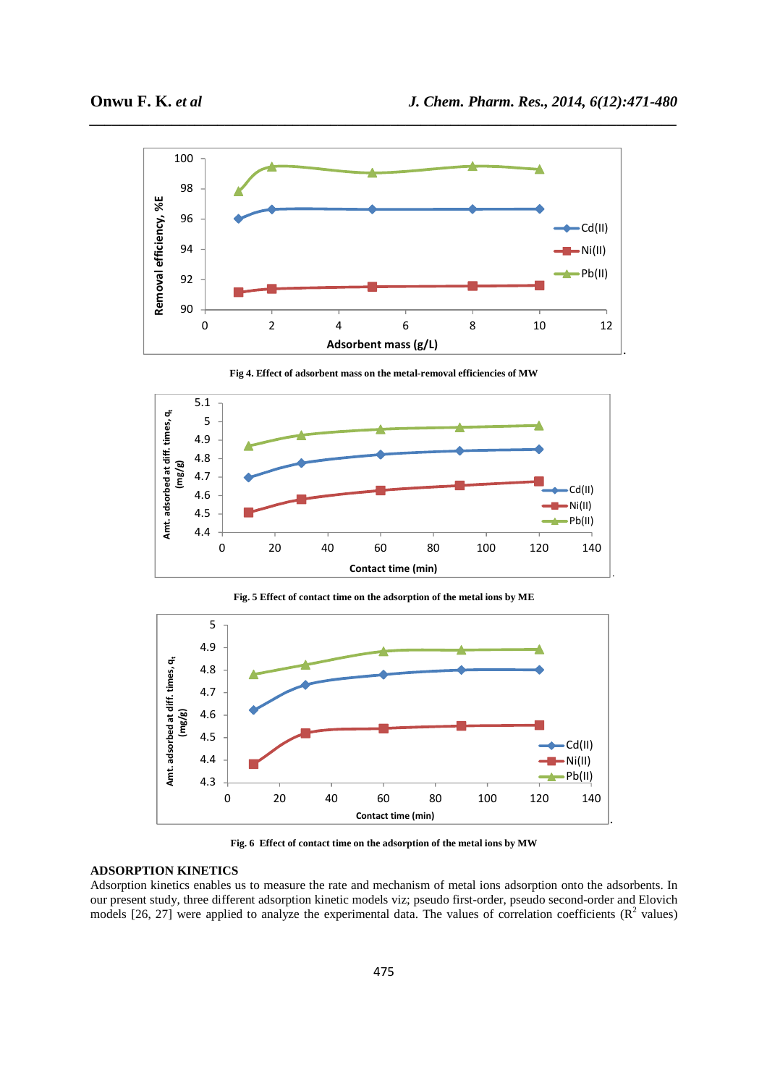

*\_\_\_\_\_\_\_\_\_\_\_\_\_\_\_\_\_\_\_\_\_\_\_\_\_\_\_\_\_\_\_\_\_\_\_\_\_\_\_\_\_\_\_\_\_\_\_\_\_\_\_\_\_\_\_\_\_\_\_\_\_\_\_\_\_\_\_\_\_\_\_\_\_\_\_\_\_\_*

**Fig 4. Effect of adsorbent mass on the metal-removal efficiencies of MW** 



**Fig. 5 Effect of contact time on the adsorption of the metal ions by ME** 



**Fig. 6 Effect of contact time on the adsorption of the metal ions by MW** 

# **ADSORPTION KINETICS**

Adsorption kinetics enables us to measure the rate and mechanism of metal ions adsorption onto the adsorbents. In our present study, three different adsorption kinetic models viz; pseudo first-order, pseudo second-order and Elovich models [26, 27] were applied to analyze the experimental data. The values of correlation coefficients ( $\mathbb{R}^2$  values)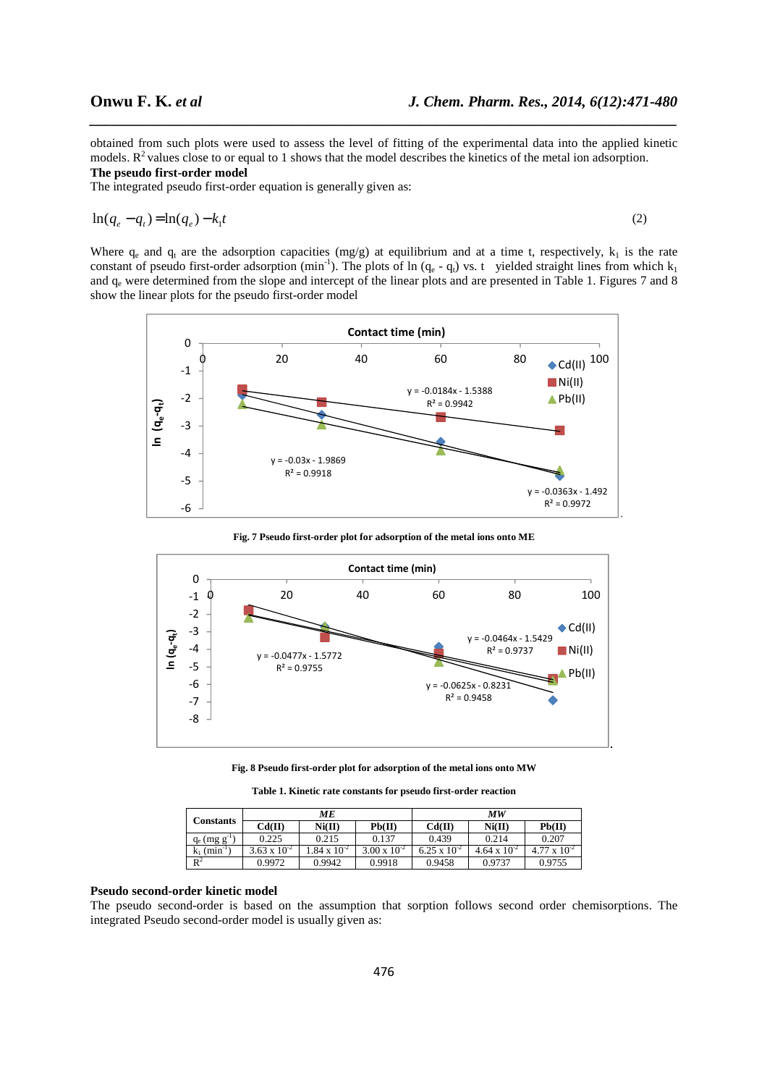obtained from such plots were used to assess the level of fitting of the experimental data into the applied kinetic models.  $R<sup>2</sup>$  values close to or equal to 1 shows that the model describes the kinetics of the metal ion adsorption. **The pseudo first-order model** 

*\_\_\_\_\_\_\_\_\_\_\_\_\_\_\_\_\_\_\_\_\_\_\_\_\_\_\_\_\_\_\_\_\_\_\_\_\_\_\_\_\_\_\_\_\_\_\_\_\_\_\_\_\_\_\_\_\_\_\_\_\_\_\_\_\_\_\_\_\_\_\_\_\_\_\_\_\_\_*

The integrated pseudo first-order equation is generally given as:

$$
\ln(q_e - q_t) = \ln(q_e) - k_1 t \tag{2}
$$

Where  $q_e$  and  $q_t$  are the adsorption capacities (mg/g) at equilibrium and at a time t, respectively,  $k_1$  is the rate constant of pseudo first-order adsorption (min<sup>-1</sup>). The plots of ln ( $q_e$  -  $q_t$ ) vs. t yielded straight lines from which  $k_1$ and  $q_e$  were determined from the slope and intercept of the linear plots and are presented in Table 1. Figures 7 and 8 show the linear plots for the pseudo first-order model



**Fig. 7 Pseudo first-order plot for adsorption of the metal ions onto ME** 



**Fig. 8 Pseudo first-order plot for adsorption of the metal ions onto MW** 

**Table 1. Kinetic rate constants for pseudo first-order reaction** 

| <b>Constants</b>           | МE                    |                      |                       | МW                    |                       |                       |  |
|----------------------------|-----------------------|----------------------|-----------------------|-----------------------|-----------------------|-----------------------|--|
|                            | Cd(II)                | Ni(II)               | Pb(II)                | Cd(II)                | Ni(II)                | Pb(II)                |  |
| $q_e$ (mg $g^{-1}$ )       | 0.225                 | 0.215                | 0.137                 | 0.439                 | 0.214                 | 0.207                 |  |
| $k_1$ (min <sup>-1</sup> ) | $3.63 \times 10^{-2}$ | $.84 \times 10^{-2}$ | $3.00 \times 10^{-2}$ | $6.25 \times 10^{-2}$ | $4.64 \times 10^{-2}$ | $4.77 \times 10^{-2}$ |  |
| $R^2$                      | 0.9972                | 0.9942               | 0.9918                | 0.9458                | 0.9737                | 0.9755                |  |

## **Pseudo second-order kinetic model**

The pseudo second-order is based on the assumption that sorption follows second order chemisorptions. The integrated Pseudo second-order model is usually given as: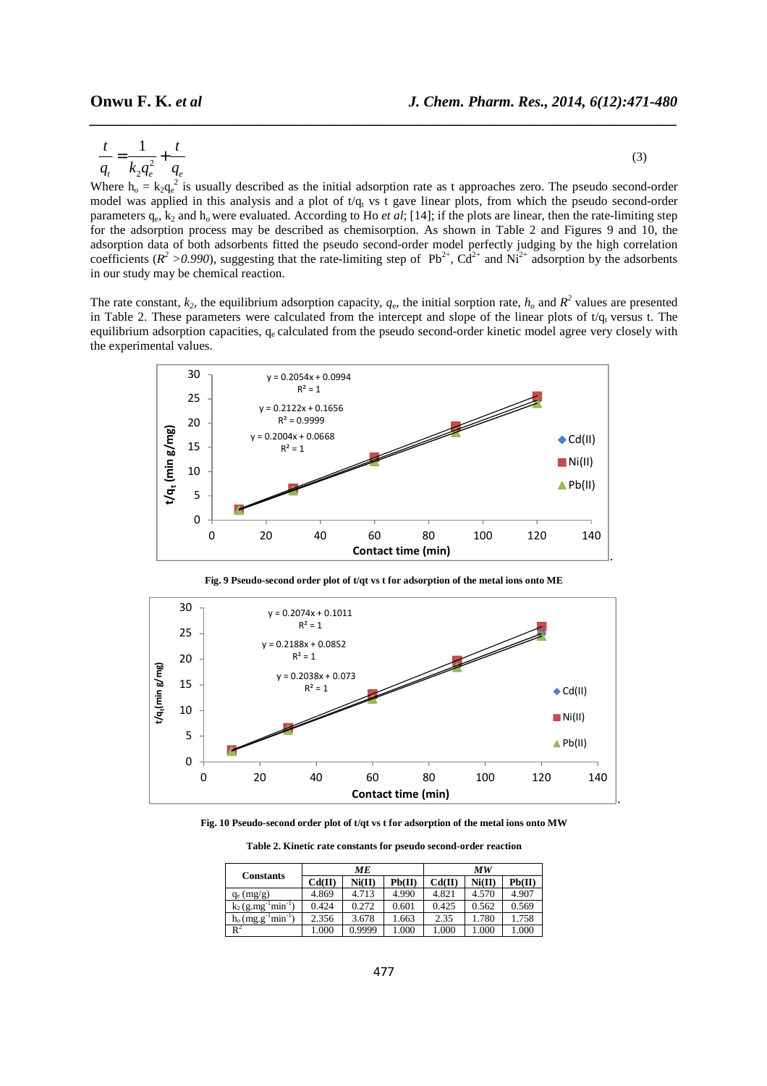$$
\frac{t}{q_t} = \frac{1}{k_2 q_e^2} + \frac{t}{q_e}
$$
 (3)

*\_\_\_\_\_\_\_\_\_\_\_\_\_\_\_\_\_\_\_\_\_\_\_\_\_\_\_\_\_\_\_\_\_\_\_\_\_\_\_\_\_\_\_\_\_\_\_\_\_\_\_\_\_\_\_\_\_\_\_\_\_\_\_\_\_\_\_\_\_\_\_\_\_\_\_\_\_\_*

Where  $h_0 = k_2 q_e^2$  is usually described as the initial adsorption rate as t approaches zero. The pseudo second-order model was applied in this analysis and a plot of  $t/q_t$  vs t gave linear plots, from which the pseudo second-order parameters  $q_e$ ,  $k_2$  and  $h_o$  were evaluated. According to Ho *et al*; [14]; if the plots are linear, then the rate-limiting step for the adsorption process may be described as chemisorption. As shown in Table 2 and Figures 9 and 10, the adsorption data of both adsorbents fitted the pseudo second-order model perfectly judging by the high correlation coefficients ( $R^2 > 0.990$ ), suggesting that the rate-limiting step of Pb<sup>2+</sup>, Cd<sup>2+</sup> and Ni<sup>2+</sup> adsorption by the adsorbents in our study may be chemical reaction.

The rate constant,  $k_2$ , the equilibrium adsorption capacity,  $q_e$ , the initial sorption rate,  $h_o$  and  $R^2$  values are presented in Table 2. These parameters were calculated from the intercept and slope of the linear plots of  $t/q_t$  versus t. The equilibrium adsorption capacities, qe calculated from the pseudo second-order kinetic model agree very closely with the experimental values.



**Fig. 9 Pseudo-second order plot of t/qt vs t for adsorption of the metal ions onto ME** 



**Fig. 10 Pseudo-second order plot of t/qt vs t for adsorption of the metal ions onto MW** 

**Table 2. Kinetic rate constants for pseudo second-order reaction** 

|                           | MЕ     |        |        | МW     |        |        |
|---------------------------|--------|--------|--------|--------|--------|--------|
| <b>Constants</b>          | Cd(II) | Ni(II) | Pb(II) | Cd(II) | Ni(II) | Pb(II) |
| $q_e$ (mg/g)              | 4.869  | 4.713  | 4.990  | 4.821  | 4.570  | 4.907  |
| $min^{-1}$<br>$k_2$ (g.mg | 0.424  | 0.272  | 0.601  | 0.425  | 0.562  | 0.569  |
| $min^{-1}$<br>$h_0$ (mg.g | 2.356  | 3.678  | 1.663  | 2.35   | .780   | 1.758  |
| $R^2$                     | .000   | 0.9999 | 1.000  | 1.000  | .000   | .000   |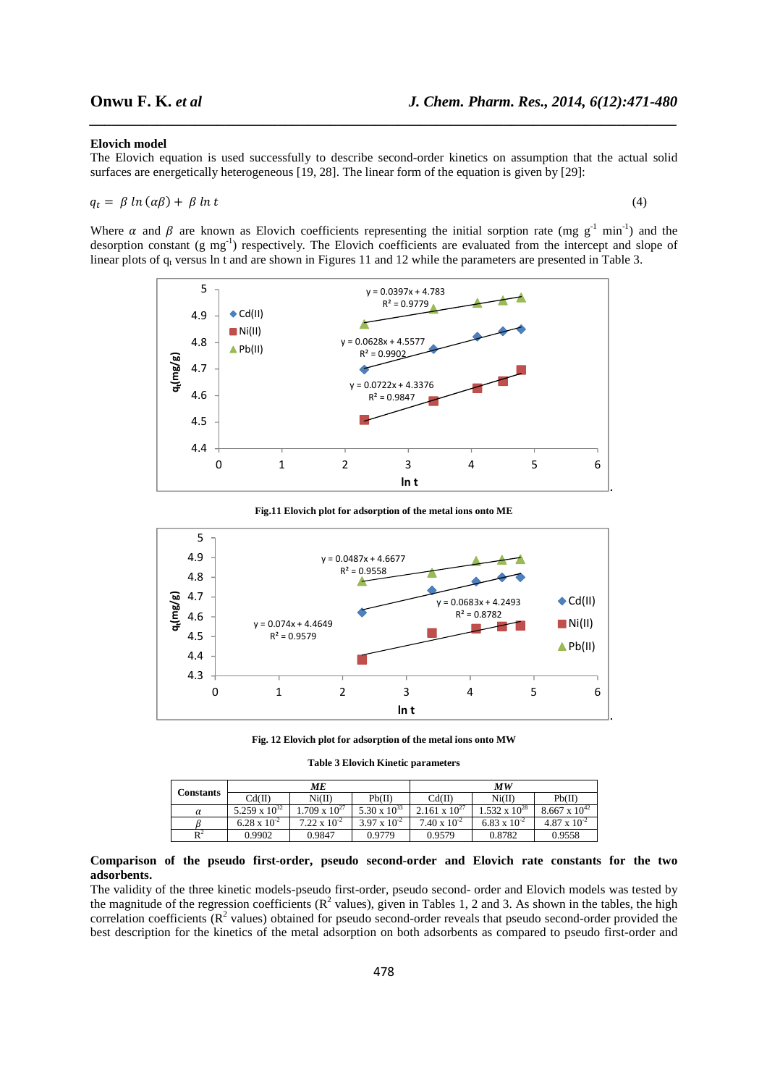#### **Elovich model**

The Elovich equation is used successfully to describe second-order kinetics on assumption that the actual solid surfaces are energetically heterogeneous [19, 28]. The linear form of the equation is given by [29]:

*\_\_\_\_\_\_\_\_\_\_\_\_\_\_\_\_\_\_\_\_\_\_\_\_\_\_\_\_\_\_\_\_\_\_\_\_\_\_\_\_\_\_\_\_\_\_\_\_\_\_\_\_\_\_\_\_\_\_\_\_\_\_\_\_\_\_\_\_\_\_\_\_\_\_\_\_\_\_*

$$
q_t = \beta \ln(\alpha \beta) + \beta \ln t \tag{4}
$$

Where  $\alpha$  and  $\beta$  are known as Elovich coefficients representing the initial sorption rate (mg g<sup>-1</sup> min<sup>-1</sup>) and the desorption constant (g mg<sup>-1</sup>) respectively. The Elovich coefficients are evaluated from the intercept and slope of linear plots of  $q_t$  versus ln t and are shown in Figures 11 and 12 while the parameters are presented in Table 3.



**Fig.11 Elovich plot for adsorption of the metal ions onto ME** 



**Fig. 12 Elovich plot for adsorption of the metal ions onto MW** 

**Table 3 Elovich Kinetic parameters** 

| Constants | MЕ                     |                        |                       | МW                     |                        |                        |  |
|-----------|------------------------|------------------------|-----------------------|------------------------|------------------------|------------------------|--|
|           | Cd(II)                 | Ni(II)                 | Pb(II)                | Cd(II)                 | Ni(II)                 | Pb(II)                 |  |
| α         | $5.259 \times 10^{32}$ | $1.709 \times 10^{27}$ | $5.30 \times 10^{33}$ | $2.161 \times 10^{27}$ | $1.532 \times 10^{28}$ | $8.667 \times 10^{42}$ |  |
|           | $6.28 \times 10^{-2}$  | $7.22 \times 10^{-2}$  | $3.97 \times 10^{-2}$ | $7.40 \times 10^{-2}$  | 6.83 x $10^{-2}$       | $4.87 \times 10^{-2}$  |  |
| $R^2$     | 0.9902                 | 0.9847                 | 0.9779                | 0.9579                 | 0.8782                 | 0.9558                 |  |

### **Comparison of the pseudo first-order, pseudo second-order and Elovich rate constants for the two adsorbents.**

The validity of the three kinetic models-pseudo first-order, pseudo second- order and Elovich models was tested by the magnitude of the regression coefficients ( $R^2$  values), given in Tables 1, 2 and 3. As shown in the tables, the high correlation coefficients  $(R^2$  values) obtained for pseudo second-order reveals that pseudo second-order provided the best description for the kinetics of the metal adsorption on both adsorbents as compared to pseudo first-order and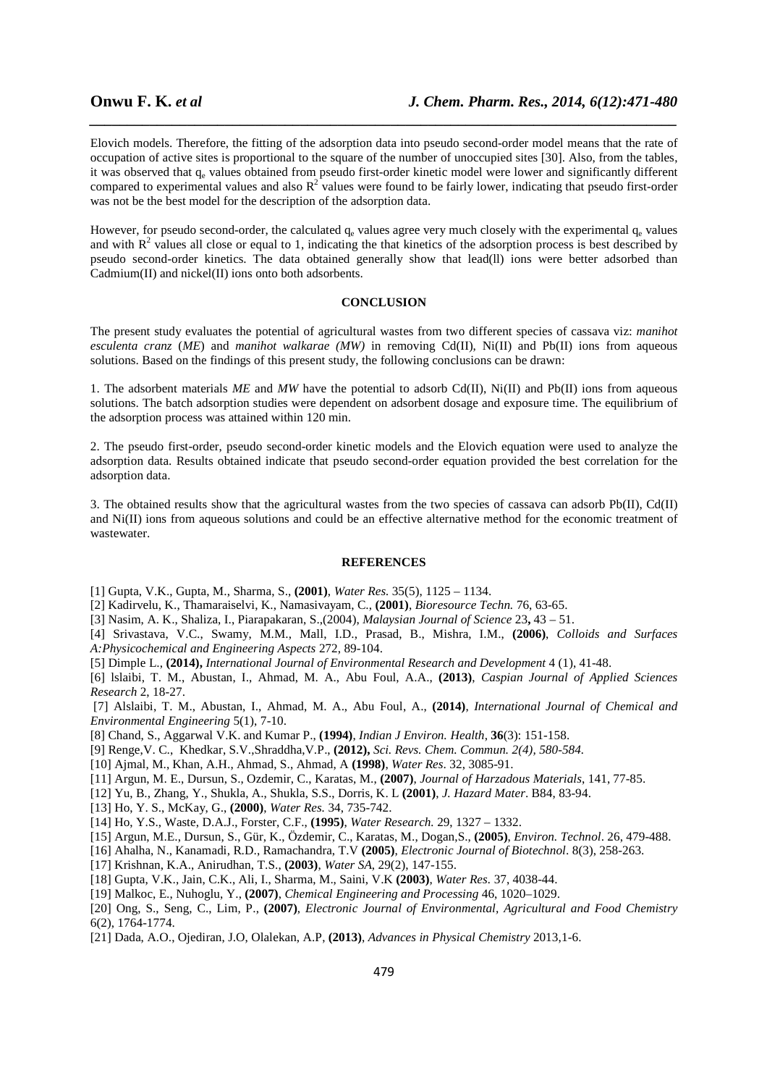Elovich models. Therefore, the fitting of the adsorption data into pseudo second-order model means that the rate of occupation of active sites is proportional to the square of the number of unoccupied sites [30]. Also, from the tables, it was observed that  $q_e$  values obtained from pseudo first-order kinetic model were lower and significantly different compared to experimental values and also  $R^2$  values were found to be fairly lower, indicating that pseudo first-order was not be the best model for the description of the adsorption data.

*\_\_\_\_\_\_\_\_\_\_\_\_\_\_\_\_\_\_\_\_\_\_\_\_\_\_\_\_\_\_\_\_\_\_\_\_\_\_\_\_\_\_\_\_\_\_\_\_\_\_\_\_\_\_\_\_\_\_\_\_\_\_\_\_\_\_\_\_\_\_\_\_\_\_\_\_\_\_*

However, for pseudo second-order, the calculated  $q_e$  values agree very much closely with the experimental  $q_e$  values and with  $R^2$  values all close or equal to 1, indicating the that kinetics of the adsorption process is best described by pseudo second-order kinetics. The data obtained generally show that lead(ll) ions were better adsorbed than Cadmium(II) and nickel(II) ions onto both adsorbents.

# **CONCLUSION**

The present study evaluates the potential of agricultural wastes from two different species of cassava viz: *manihot esculenta cranz* (*ME*) and *manihot walkarae (MW)* in removing Cd(II), Ni(II) and Pb(II) ions from aqueous solutions. Based on the findings of this present study, the following conclusions can be drawn:

1. The adsorbent materials *ME* and *MW* have the potential to adsorb Cd(II), Ni(II) and Pb(II) ions from aqueous solutions. The batch adsorption studies were dependent on adsorbent dosage and exposure time. The equilibrium of the adsorption process was attained within 120 min.

2. The pseudo first-order, pseudo second-order kinetic models and the Elovich equation were used to analyze the adsorption data. Results obtained indicate that pseudo second-order equation provided the best correlation for the adsorption data.

3. The obtained results show that the agricultural wastes from the two species of cassava can adsorb Pb(II), Cd(II) and Ni(II) ions from aqueous solutions and could be an effective alternative method for the economic treatment of wastewater.

## **REFERENCES**

- [1] Gupta, V.K., Gupta, M., Sharma, S., **(2001)**, *Water Res.* 35(5), 1125 1134.
- [2] Kadirvelu, K., Thamaraiselvi, K., Namasivayam, C., **(2001)**, *Bioresource Techn.* 76, 63-65.
- [3] Nasim, A. K., Shaliza, I., Piarapakaran, S.,(2004), *Malaysian Journal of Science* 23**,** 43 51.

[4] Srivastava, V.C., Swamy, M.M., Mall, I.D., Prasad, B., Mishra, I.M., **(2006)**, *Colloids and Surfaces A:Physicochemical and Engineering Aspects* 272, 89-104.

[5] Dimple L., **(2014),** *International Journal of Environmental Research and Development* 4 (1), 41-48.

[6] lslaibi, T. M., Abustan, I., Ahmad, M. A., Abu Foul, A.A., **(2013)**, *Caspian Journal of Applied Sciences Research* 2, 18-27.

 [7] Alslaibi, T. M., Abustan, I., Ahmad, M. A., Abu Foul, A., **(2014)**, *International Journal of Chemical and Environmental Engineering* 5(1), 7-10.

- [8] Chand, S., Aggarwal V.K. and Kumar P., **(1994)**, *Indian J Environ. Health*, **36**(3): 151-158.
- [9] Renge,V. C., Khedkar, S.V.,Shraddha,V.P., **(2012),** *Sci. Revs. Chem. Commun. 2(4), 580-584.*
- [10] Ajmal, M., Khan, A.H., Ahmad, S., Ahmad, A **(1998)**, *Water Res*. 32, 3085-91.
- [11] Argun, M. E., Dursun, S., Ozdemir, C., Karatas, M., **(2007)**, *Journal of Harzadous Materials*, 141, 77-85.
- [12] Yu, B., Zhang, Y., Shukla, A., Shukla, S.S., Dorris, K. L **(2001)**, *J. Hazard Mater*. B84, 83-94.
- [13] Ho, Y. S., McKay, G., **(2000)**, *Water Res.* 34, 735-742.
- [14] Ho, Y.S., Waste, D.A.J., Forster, C.F., **(1995)**, *Water Research.* 29, 1327 1332.
- [15] Argun, M.E., Dursun, S., Gür, K., Özdemir, C., Karatas, M., Dogan,S., **(2005)**, *Environ. Technol*. 26, 479-488.
- [16] Ahalha, N., Kanamadi, R.D., Ramachandra, T.V **(2005)**, *Electronic Journal of Biotechnol*. 8(3), 258-263.
- [17] Krishnan, K.A., Anirudhan, T.S., **(2003)**, *Water SA*, 29(2), 147-155.
- [18] Gupta, V.K., Jain, C.K., Ali, I., Sharma, M., Saini, V.K **(2003)**, *Water Res.* 37, 4038-44.
- [19] Malkoc, E., Nuhoglu, Y., **(2007)**, *Chemical Engineering and Processing* 46, 1020–1029.
- [20] Ong, S., Seng, C., Lim, P., **(2007)**, *Electronic Journal of Environmental, Agricultural and Food Chemistry* 6(2), 1764-1774.
- [21] Dada, A.O., Ojediran, J.O, Olalekan, A.P, **(2013)**, *Advances in Physical Chemistry* 2013,1-6.